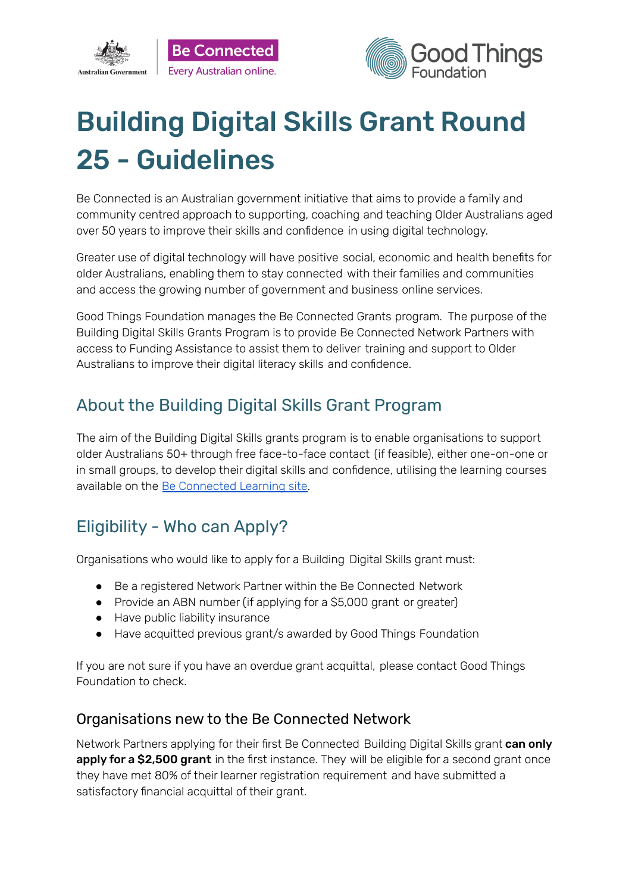



# Building Digital Skills Grant Round 25 - Guidelines

Be Connected is an Australian government initiative that aims to provide a family and community centred approach to supporting, coaching and teaching Older Australians aged over 50 years to improve their skills and confidence in using digital technology.

Greater use of digital technology will have positive social, economic and health benefits for older Australians, enabling them to stay connected with their families and communities and access the growing number of government and business online services.

Good Things Foundation manages the Be Connected Grants program. The purpose of the Building Digital Skills Grants Program is to provide Be Connected Network Partners with access to Funding Assistance to assist them to deliver training and support to Older Australians to improve their digital literacy skills and confidence.

# About the Building Digital Skills Grant Program

The aim of the Building Digital Skills grants program is to enable organisations to support older Australians 50+ through free face-to-face contact (if feasible), either one-on-one or in small groups, to develop their digital skills and confidence, utilising the learning courses available on the Be [Connected](https://beconnected.esafety.gov.au/topic-library) Learning site.

# Eligibility - Who can Apply?

Organisations who would like to apply for a Building Digital Skills grant must:

- Be a registered Network Partner within the Be Connected Network
- Provide an ABN number (if applying for a \$5,000 grant or greater)
- Have public liability insurance
- Have acquitted previous grant/s awarded by Good Things Foundation

If you are not sure if you have an overdue grant acquittal, please contact Good Things Foundation to check.

### Organisations new to the Be Connected Network

Network Partners applying for their first Be Connected Building Digital Skills grant can only apply for a \$2,500 grant in the first instance. They will be eligible for a second grant once they have met 80% of their learner registration requirement and have submitted a satisfactory financial acquittal of their grant.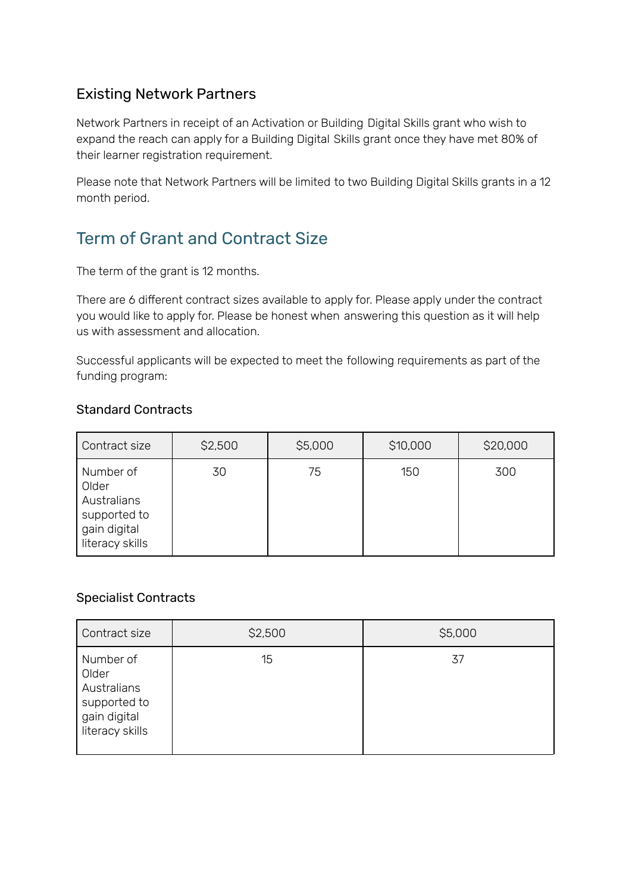### Existing Network Partners

Network Partners in receipt of an Activation or Building Digital Skills grant who wish to expand the reach can apply for a Building Digital Skills grant once they have met 80% of their learner registration requirement.

Please note that Network Partners will be limited to two Building Digital Skills grants in a 12 month period.

# Term of Grant and Contract Size

The term of the grant is 12 months.

There are 6 different contract sizes available to apply for. Please apply under the contract you would like to apply for. Please be honest when answering this question as it will help us with assessment and allocation.

Successful applicants will be expected to meet the following requirements as part of the funding program:

#### Standard Contracts

| Contract size                                                                        | \$2,500 | \$5,000 | \$10,000 | \$20,000 |
|--------------------------------------------------------------------------------------|---------|---------|----------|----------|
| Number of<br>Older<br>Australians<br>supported to<br>gain digital<br>literacy skills | 30      | 75      | 150      | 300      |

### Specialist Contracts

| Contract size                                                                        | \$2,500 | \$5,000 |
|--------------------------------------------------------------------------------------|---------|---------|
| Number of<br>Older<br>Australians<br>supported to<br>gain digital<br>literacy skills | 15      | 37      |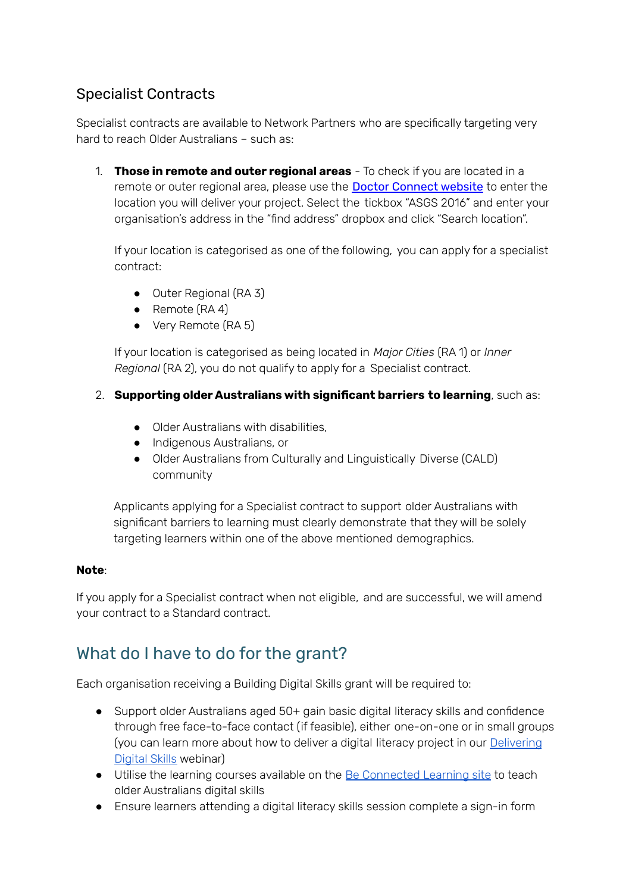### Specialist Contracts

Specialist contracts are available to Network Partners who are specifically targeting very hard to reach Older Australians – such as:

1. **Those in remote and outer regional areas** - To check if you are located in a remote or outer regional area, please use the Doctor [Connect](https://www.health.gov.au/resources/apps-and-tools/health-workforce-locator/health-workforce-locator) website to enter the location you will deliver your project. Select the tickbox "ASGS 2016" and enter your organisation's address in the "find address" dropbox and click "Search location".

If your location is categorised as one of the following, you can apply for a specialist contract:

- Outer Regional (RA 3)
- Remote (RA 4)
- Very Remote (RA 5)

If your location is categorised as being located in *Major Cities* (RA 1) or *Inner Regional* (RA 2), you do not qualify to apply for a Specialist contract.

### 2. **Supporting older Australians with significant barriers to learning**, such as:

- Older Australians with disabilities,
- Indigenous Australians, or
- Older Australians from Culturally and Linguistically Diverse (CALD) community

Applicants applying for a Specialist contract to support older Australians with significant barriers to learning must clearly demonstrate that they will be solely targeting learners within one of the above mentioned demographics.

#### **Note**:

If you apply for a Specialist contract when not eligible, and are successful, we will amend your contract to a Standard contract.

### What do I have to do for the grant?

Each organisation receiving a Building Digital Skills grant will be required to:

- Support older Australians aged 50+ gain basic digital literacy skills and confidence through free face-to-face contact (if feasible), either one-on-one or in small groups (you can learn more about how to deliver a digital literacy project in our [Delivering](https://zoom.us/webinar/register/6015796472426/WN_D_OZAjh8S7yT39JoGBvsPg) [Digital](https://zoom.us/webinar/register/6015796472426/WN_D_OZAjh8S7yT39JoGBvsPg) Skills webinar)
- Utilise the learning courses available on the Be [Connected](https://beconnected.esafety.gov.au/topic-library) Learning site to teach older Australians digital skills
- Ensure learners attending a digital literacy skills session complete a sign-in form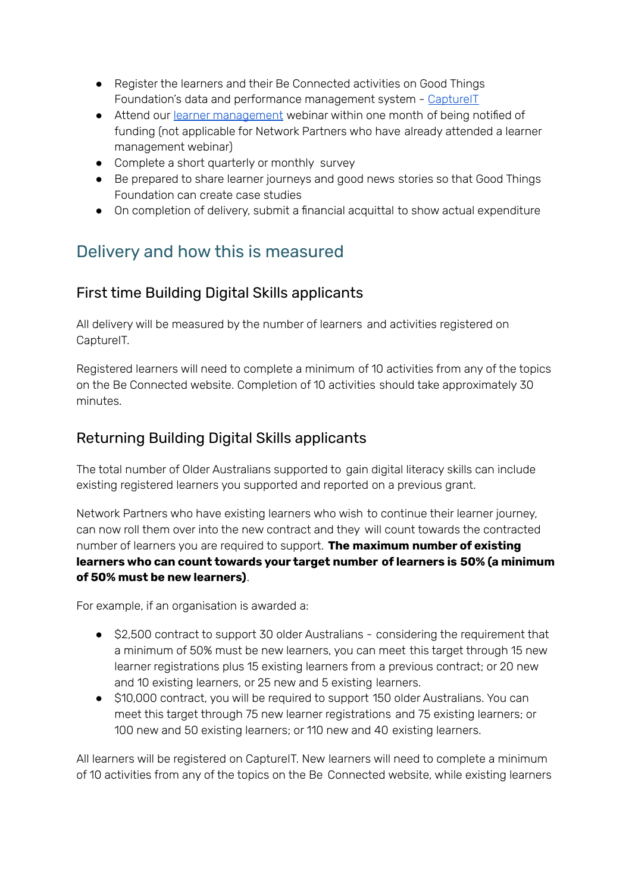- Register the learners and their Be Connected activities on Good Things Foundation's data and performance management system - [CaptureIT](https://www.beconnectednetwork.org.au/sites/default/files/registering_learners_with_captureit.pdf)
- Attend our learner [management](https://zoom.us/webinar/register/6015796471678/WN_J2x9_cS0RFuvUzL_PpWTYw) webinar within one month of being notified of funding (not applicable for Network Partners who have already attended a learner management webinar)
- Complete a short quarterly or monthly survey
- Be prepared to share learner journeys and good news stories so that Good Things Foundation can create case studies
- On completion of delivery, submit a financial acquittal to show actual expenditure

### Delivery and how this is measured

### First time Building Digital Skills applicants

All delivery will be measured by the number of learners and activities registered on CaptureIT.

Registered learners will need to complete a minimum of 10 activities from any of the topics on the Be Connected website. Completion of 10 activities should take approximately 30 minutes.

### Returning Building Digital Skills applicants

The total number of Older Australians supported to gain digital literacy skills can include existing registered learners you supported and reported on a previous grant.

Network Partners who have existing learners who wish to continue their learner journey, can now roll them over into the new contract and they will count towards the contracted number of learners you are required to support. **The maximum number of existing learners who can count towards your target number of learners is 50% (a minimum of 50% must be new learners)**.

For example, if an organisation is awarded a:

- \$2,500 contract to support 30 older Australians considering the requirement that a minimum of 50% must be new learners, you can meet this target through 15 new learner registrations plus 15 existing learners from a previous contract; or 20 new and 10 existing learners, or 25 new and 5 existing learners.
- \$10,000 contract, you will be required to support 150 older Australians. You can meet this target through 75 new learner registrations and 75 existing learners; or 100 new and 50 existing learners; or 110 new and 40 existing learners.

All learners will be registered on CaptureIT. New learners will need to complete a minimum of 10 activities from any of the topics on the Be Connected website, while existing learners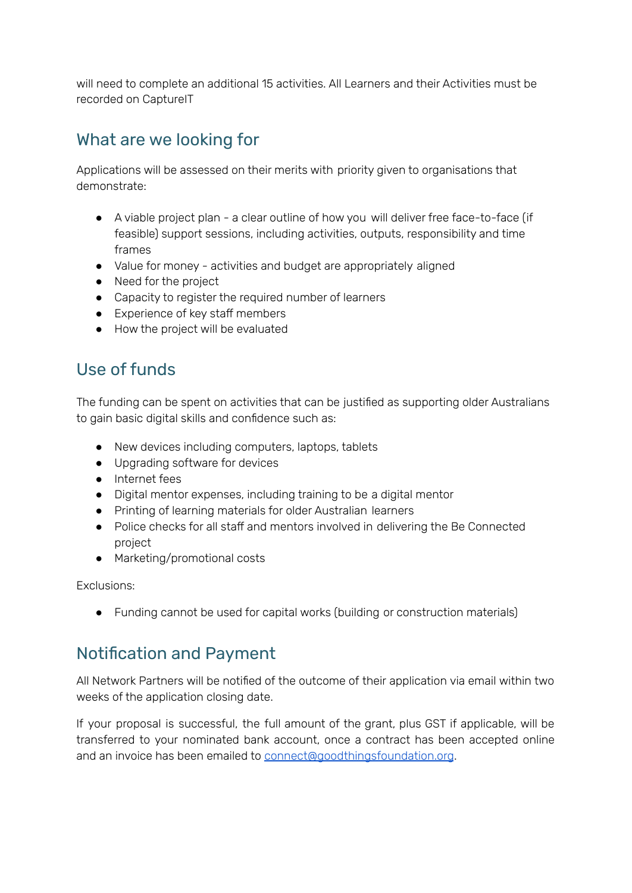will need to complete an additional 15 activities. All Learners and their Activities must be recorded on CaptureIT

### What are we looking for

Applications will be assessed on their merits with priority given to organisations that demonstrate:

- A viable project plan a clear outline of how you will deliver free face-to-face (if feasible) support sessions, including activities, outputs, responsibility and time frames
- Value for money activities and budget are appropriately aligned
- Need for the project
- Capacity to register the required number of learners
- Experience of key staff members
- How the project will be evaluated

### Use of funds

The funding can be spent on activities that can be justified as supporting older Australians to gain basic digital skills and confidence such as:

- New devices including computers, laptops, tablets
- Upgrading software for devices
- Internet fees
- Digital mentor expenses, including training to be a digital mentor
- Printing of learning materials for older Australian learners
- Police checks for all staff and mentors involved in delivering the Be Connected project
- Marketing/promotional costs

Exclusions:

● Funding cannot be used for capital works (building or construction materials)

### Notification and Payment

All Network Partners will be notified of the outcome of their application via email within two weeks of the application closing date.

If your proposal is successful, the full amount of the grant, plus GST if applicable, will be transferred to your nominated bank account, once a contract has been accepted online and an invoice has been emailed to [connect@goodthingsfoundation.org](mailto:connect@goodthingsfoundation.org).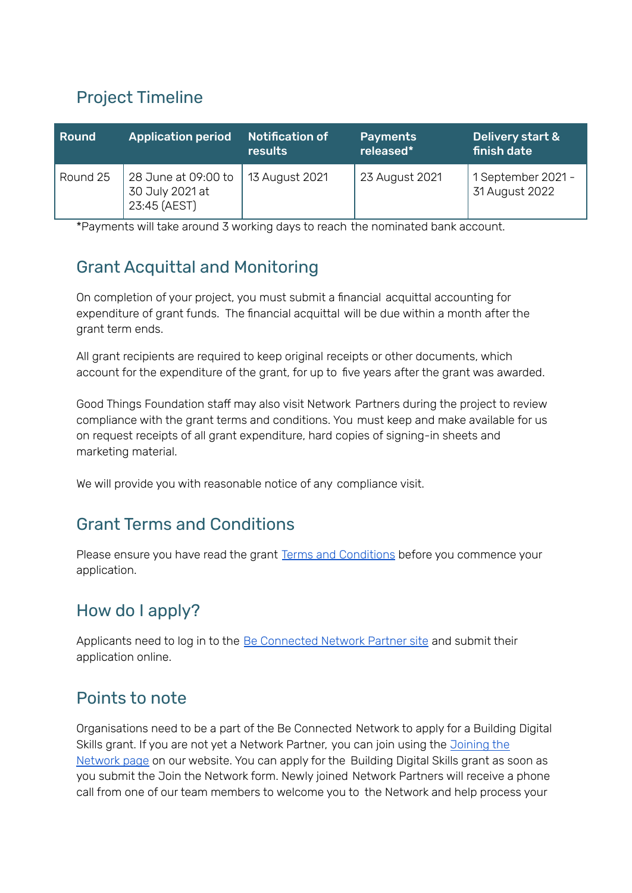# Project Timeline

| <b>Round</b> | <b>Application period</b>                              | Notification of<br>results | <b>Payments</b><br>released* | Delivery start &<br><b>\finish date</b> |
|--------------|--------------------------------------------------------|----------------------------|------------------------------|-----------------------------------------|
| Round 25     | 28 June at 09:00 to<br>30 July 2021 at<br>23:45 (AEST) | 13 August 2021             | 23 August 2021               | 1 September 2021 -<br>31 August 2022    |

\*Payments will take around 3 working days to reach the nominated bank account.

# Grant Acquittal and Monitoring

On completion of your project, you must submit a financial acquittal accounting for expenditure of grant funds. The financial acquittal will be due within a month after the grant term ends.

All grant recipients are required to keep original receipts or other documents, which account for the expenditure of the grant, for up to five years after the grant was awarded.

Good Things Foundation staff may also visit Network Partners during the project to review compliance with the grant terms and conditions. You must keep and make available for us on request receipts of all grant expenditure, hard copies of signing-in sheets and marketing material.

We will provide you with reasonable notice of any compliance visit.

### Grant Terms and Conditions

Please ensure you have read the grant Terms and [Conditions](https://www.beconnectednetwork.org.au/sites/default/files/2021-06-17_round_25_-_be_connected_building_digital_skills_2021_22_terms_and_conditions.pdf) before you commence your application.

# How do I apply?

Applicants need to log in to the Be [Connected](https://www.beconnectednetwork.org.au/be-connected-network/apply-for-a-grant) Network Partner site and submit their application online.

### Points to note

Organisations need to be a part of the Be Connected Network to apply for a Building Digital Skills grant. If you are not yet a Network Partner, you can join using the [Joining](https://www.beconnectednetwork.org.au/join-the-network-step-1) the [Network](https://www.beconnectednetwork.org.au/join-the-network-step-1) page on our website. You can apply for the Building Digital Skills grant as soon as you submit the Join the Network form. Newly joined Network Partners will receive a phone call from one of our team members to welcome you to the Network and help process your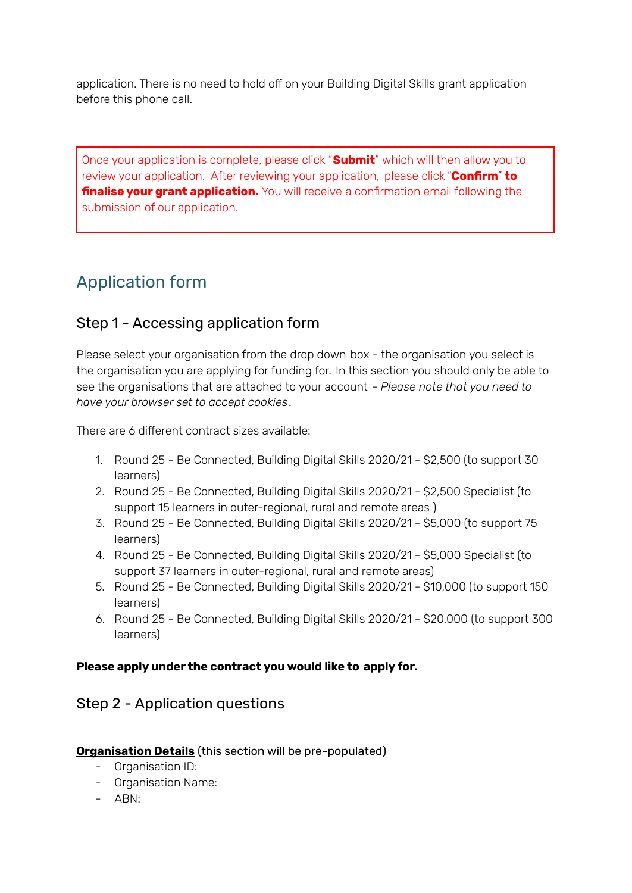application. There is no need to hold off on your Building Digital Skills grant application before this phone call.

Once your application is complete, please click "**Submit**" which will then allow you to review your application. After reviewing your application, please click "**Confirm**" **to finalise your grant application.** You will receive a confirmation email following the submission of our application.

# Application form

### Step 1 - Accessing application form

Please select your organisation from the drop down box - the organisation you select is the organisation you are applying for funding for. In this section you should only be able to see the organisations that are attached to your account - *Please note that you need to have your browser set to accept cookies*.

There are 6 different contract sizes available:

- 1. Round 25 Be Connected, Building Digital Skills 2020/21 \$2,500 (to support 30 learners)
- 2. Round 25 Be Connected, Building Digital Skills 2020/21 \$2,500 Specialist (to support 15 learners in outer-regional, rural and remote areas )
- 3. Round 25 Be Connected, Building Digital Skills 2020/21 \$5,000 (to support 75 learners)
- 4. Round 25 Be Connected, Building Digital Skills 2020/21 \$5,000 Specialist (to support 37 learners in outer-regional, rural and remote areas)
- 5. Round 25 Be Connected, Building Digital Skills 2020/21 \$10,000 (to support 150 learners)
- 6. Round 25 Be Connected, Building Digital Skills 2020/21 \$20,000 (to support 300 learners)

### **Please apply under the contract you would like to apply for.**

### Step 2 - Application questions

#### **Organisation Details** (this section will be pre-populated)

- Organisation ID:
- Organisation Name:
- ABN: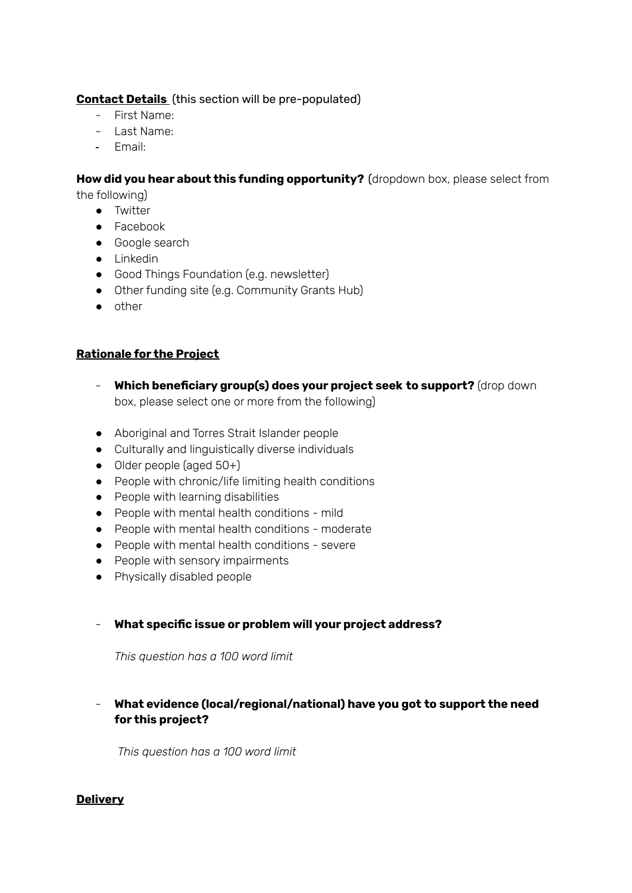#### **Contact Details** (this section will be pre-populated)

- First Name:
- Last Name:
- Email:

#### **How did you hear about this funding opportunity?** (dropdown box, please select from

the following)

- Twitter
- Facebook
- Google search
- Linkedin
- Good Things Foundation (e.g. newsletter)
- Other funding site (e.g. Community Grants Hub)
- other

#### **Rationale for the Project**

- **Which beneficiary group(s) does your project seek to support?** (drop down box, please select one or more from the following)
- Aboriginal and Torres Strait Islander people
- Culturally and linguistically diverse individuals
- Older people (aged 50+)
- People with chronic/life limiting health conditions
- People with learning disabilities
- People with mental health conditions mild
- People with mental health conditions moderate
- People with mental health conditions severe
- People with sensory impairments
- Physically disabled people

#### - **What specific issue or problem will your project address?**

*This question has a 100 word limit*

#### - **What evidence (local/regional/national) have you got to support the need for this project?**

*This question has a 100 word limit*

#### **Delivery**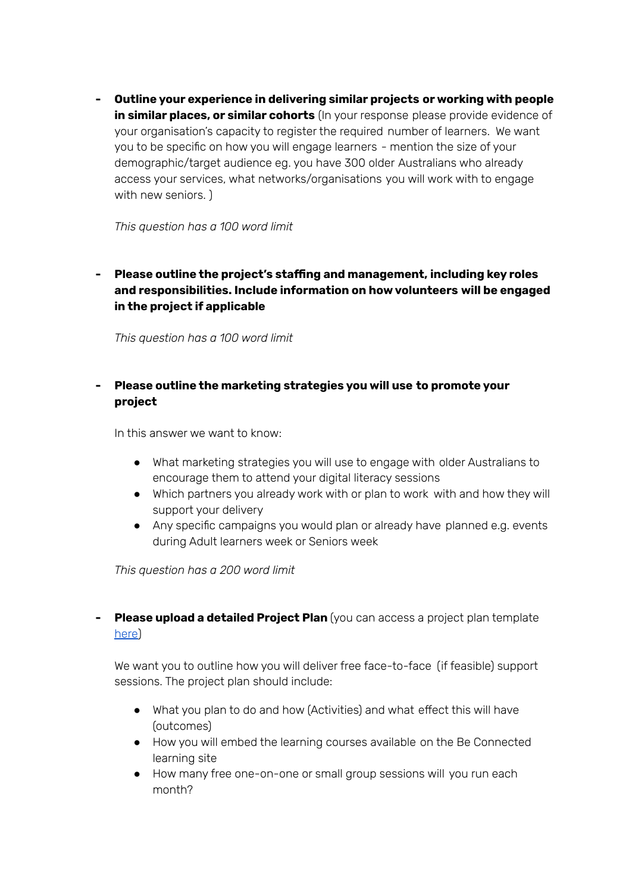**- Outline your experience in delivering similar projects or working with people in similar places, or similar cohorts** (In your response please provide evidence of your organisation's capacity to register the required number of learners. We want you to be specific on how you will engage learners - mention the size of your demographic/target audience eg. you have 300 older Australians who already access your services, what networks/organisations you will work with to engage with new seniors. )

*This question has a 100 word limit*

**- Please outline the project's staffing and management, including key roles and responsibilities. Include information on how volunteers will be engaged in the project if applicable**

*This question has a 100 word limit*

### **- Please outline the marketing strategies you will use to promote your project**

In this answer we want to know:

- What marketing strategies you will use to engage with older Australians to encourage them to attend your digital literacy sessions
- Which partners you already work with or plan to work with and how they will support your delivery
- Any specific campaigns you would plan or already have planned e.g. events during Adult learners week or Seniors week

*This question has a 200 word limit*

**- Please upload a detailed Project Plan** (you can access a project plan template [here](https://www.beconnectednetwork.org.au/sites/default/files/2021-06-24_project_plan_template_-_building_digital_skills.docx))

We want you to outline how you will deliver free face-to-face (if feasible) support sessions. The project plan should include:

- What you plan to do and how (Activities) and what effect this will have (outcomes)
- How you will embed the learning courses available on the Be Connected learning site
- How many free one-on-one or small group sessions will you run each month?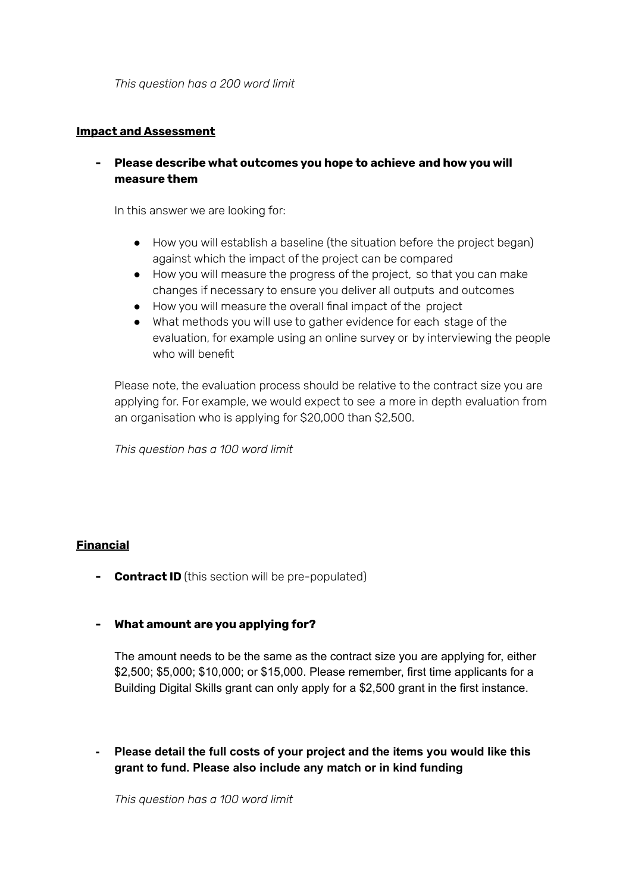*This question has a 200 word limit*

#### **Impact and Assessment**

**- Please describe what outcomes you hope to achieve and how you will measure them**

In this answer we are looking for:

- How you will establish a baseline (the situation before the project began) against which the impact of the project can be compared
- How you will measure the progress of the project, so that you can make changes if necessary to ensure you deliver all outputs and outcomes
- How you will measure the overall final impact of the project
- What methods you will use to gather evidence for each stage of the evaluation, for example using an online survey or by interviewing the people who will benefit

Please note, the evaluation process should be relative to the contract size you are applying for. For example, we would expect to see a more in depth evaluation from an organisation who is applying for \$20,000 than \$2,500.

*This question has a 100 word limit*

#### **Financial**

- **- Contract ID** (this section will be pre-populated)
- **- What amount are you applying for?**

The amount needs to be the same as the contract size you are applying for, either \$2,500; \$5,000; \$10,000; or \$15,000. Please remember, first time applicants for a Building Digital Skills grant can only apply for a \$2,500 grant in the first instance.

**- Please detail the full costs of your project and the items you would like this grant to fund. Please also include any match or in kind funding**

*This question has a 100 word limit*